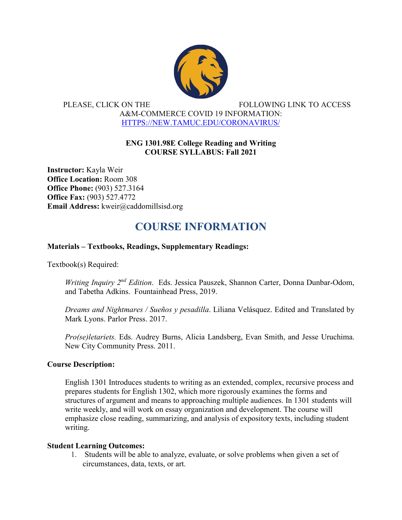

PLEASE, CLICK ON THE FOLLOWING LINK TO ACCESS A&M-COMMERCE COVID 19 INFORMATION: [HTTPS://NEW.TAMUC.EDU/CORONAVIRUS/](https://new.tamuc.edu/coronavirus/)

## **ENG 1301.98E College Reading and Writing COURSE SYLLABUS: Fall 2021**

**Instructor:** Kayla Weir **Office Location:** Room 308 **Office Phone:** (903) 527.3164 **Office Fax:** (903) 527.4772 **Email Address:** kweir@caddomillsisd.org

## **COURSE INFORMATION**

### **Materials – Textbooks, Readings, Supplementary Readings:**

Textbook(s) Required:

*Writing Inquiry 2nd Edition*. Eds. Jessica Pauszek, Shannon Carter, Donna Dunbar-Odom, and Tabetha Adkins. Fountainhead Press, 2019.

*Dreams and Nightmares / Sueños y pesadilla*. Liliana Velásquez. Edited and Translated by Mark Lyons. Parlor Press. 2017.

*Pro(se)letariets.* Eds. Audrey Burns, Alicia Landsberg, Evan Smith, and Jesse Uruchima. New City Community Press. 2011.

### **Course Description:**

English 1301 Introduces students to writing as an extended, complex, recursive process and prepares students for English 1302, which more rigorously examines the forms and structures of argument and means to approaching multiple audiences. In 1301 students will write weekly, and will work on essay organization and development. The course will emphasize close reading, summarizing, and analysis of expository texts, including student writing.

### **Student Learning Outcomes:**

1. Students will be able to analyze, evaluate, or solve problems when given a set of circumstances, data, texts, or art.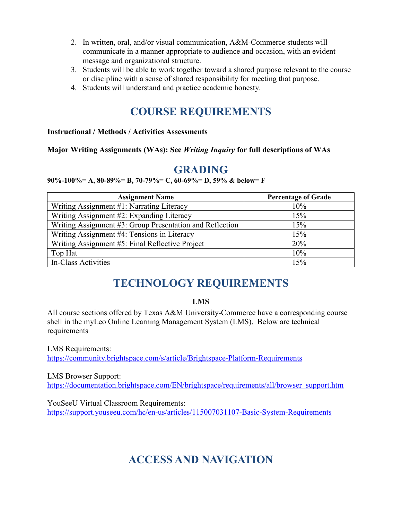- 2. In written, oral, and/or visual communication, A&M-Commerce students will communicate in a manner appropriate to audience and occasion, with an evident message and organizational structure.
- 3. Students will be able to work together toward a shared purpose relevant to the course or discipline with a sense of shared responsibility for meeting that purpose.
- 4. Students will understand and practice academic honesty.

## **COURSE REQUIREMENTS**

### **Instructional / Methods / Activities Assessments**

#### **Major Writing Assignments (WAs): See** *Writing Inquiry* **for full descriptions of WAs**

## **GRADING**

#### **90%-100%= A, 80-89%= B, 70-79%= C, 60-69%= D, 59% & below= F**

| <b>Assignment Name</b>                                   | <b>Percentage of Grade</b> |
|----------------------------------------------------------|----------------------------|
| Writing Assignment #1: Narrating Literacy                | 10%                        |
| Writing Assignment #2: Expanding Literacy                | 15%                        |
| Writing Assignment #3: Group Presentation and Reflection | 15%                        |
| Writing Assignment #4: Tensions in Literacy              | 15%                        |
| Writing Assignment #5: Final Reflective Project          | 20%                        |
| Top Hat                                                  | 10%                        |
| In-Class Activities                                      | 15%                        |

## **TECHNOLOGY REQUIREMENTS**

### **LMS**

All course sections offered by Texas A&M University-Commerce have a corresponding course shell in the myLeo Online Learning Management System (LMS). Below are technical requirements

LMS Requirements: <https://community.brightspace.com/s/article/Brightspace-Platform-Requirements>

LMS Browser Support: [https://documentation.brightspace.com/EN/brightspace/requirements/all/browser\\_support.htm](https://documentation.brightspace.com/EN/brightspace/requirements/all/browser_support.htm)

YouSeeU Virtual Classroom Requirements: <https://support.youseeu.com/hc/en-us/articles/115007031107-Basic-System-Requirements>

# **ACCESS AND NAVIGATION**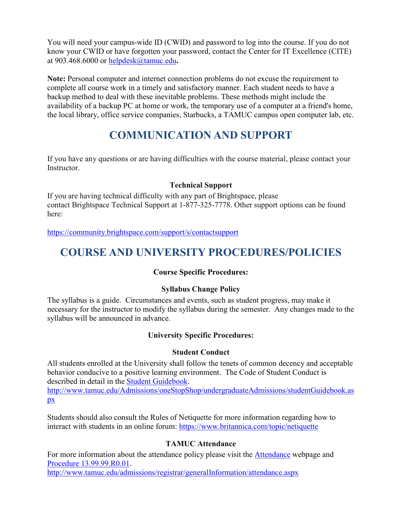You will need your campus-wide ID (CWID) and password to log into the course. If you do not know your CWID or have forgotten your password, contact the Center for IT Excellence (CITE) at 903.468.6000 or [helpdesk@tamuc.edu](mailto:helpdesk@tamuc.edu)**.**

**Note:** Personal computer and internet connection problems do not excuse the requirement to complete all course work in a timely and satisfactory manner. Each student needs to have a backup method to deal with these inevitable problems. These methods might include the availability of a backup PC at home or work, the temporary use of a computer at a friend's home, the local library, office service companies, Starbucks, a TAMUC campus open computer lab, etc.

## **COMMUNICATION AND SUPPORT**

If you have any questions or are having difficulties with the course material, please contact your Instructor.

### **Technical Support**

If you are having technical difficulty with any part of Brightspace, please contact Brightspace Technical Support at 1-877-325-7778. Other support options can be found here:

<https://community.brightspace.com/support/s/contactsupport>

# **COURSE AND UNIVERSITY PROCEDURES/POLICIES**

### **Course Specific Procedures:**

### **Syllabus Change Policy**

The syllabus is a guide. Circumstances and events, such as student progress, may make it necessary for the instructor to modify the syllabus during the semester. Any changes made to the syllabus will be announced in advance.

### **University Specific Procedures:**

### **Student Conduct**

All students enrolled at the University shall follow the tenets of common decency and acceptable behavior conducive to a positive learning environment. The Code of Student Conduct is described in detail in the [Student Guidebook.](http://www.tamuc.edu/Admissions/oneStopShop/undergraduateAdmissions/studentGuidebook.aspx) [http://www.tamuc.edu/Admissions/oneStopShop/undergraduateAdmissions/studentGuidebook.as](http://www.tamuc.edu/Admissions/oneStopShop/undergraduateAdmissions/studentGuidebook.aspx) [px](http://www.tamuc.edu/Admissions/oneStopShop/undergraduateAdmissions/studentGuidebook.aspx)

Students should also consult the Rules of Netiquette for more information regarding how to interact with students in an online forum:<https://www.britannica.com/topic/netiquette>

## **TAMUC Attendance**

For more information about the attendance policy please visit the [Attendance](http://www.tamuc.edu/admissions/registrar/generalInformation/attendance.aspx) webpage and [Procedure 13.99.99.R0.01.](http://www.tamuc.edu/aboutUs/policiesProceduresStandardsStatements/rulesProcedures/13students/academic/13.99.99.R0.01.pdf)

<http://www.tamuc.edu/admissions/registrar/generalInformation/attendance.aspx>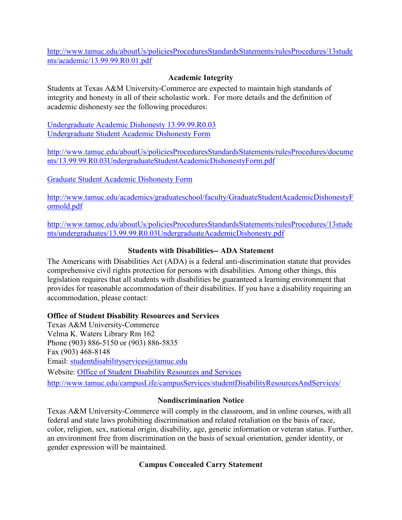[http://www.tamuc.edu/aboutUs/policiesProceduresStandardsStatements/rulesProcedures/13stude](http://www.tamuc.edu/aboutUs/policiesProceduresStandardsStatements/rulesProcedures/13students/academic/13.99.99.R0.01.pdf) [nts/academic/13.99.99.R0.01.pdf](http://www.tamuc.edu/aboutUs/policiesProceduresStandardsStatements/rulesProcedures/13students/academic/13.99.99.R0.01.pdf)

## **Academic Integrity**

Students at Texas A&M University-Commerce are expected to maintain high standards of integrity and honesty in all of their scholastic work. For more details and the definition of academic dishonesty see the following procedures:

[Undergraduate Academic Dishonesty 13.99.99.R0.03](http://www.tamuc.edu/aboutUs/policiesProceduresStandardsStatements/rulesProcedures/13students/undergraduates/13.99.99.R0.03UndergraduateAcademicDishonesty.pdf) [Undergraduate Student Academic Dishonesty Form](http://www.tamuc.edu/aboutUs/policiesProceduresStandardsStatements/rulesProcedures/documents/13.99.99.R0.03UndergraduateStudentAcademicDishonestyForm.pdf)

[http://www.tamuc.edu/aboutUs/policiesProceduresStandardsStatements/rulesProcedures/docume](http://www.tamuc.edu/aboutUs/policiesProceduresStandardsStatements/rulesProcedures/documents/13.99.99.R0.03UndergraduateStudentAcademicDishonestyForm.pdf) [nts/13.99.99.R0.03UndergraduateStudentAcademicDishonestyForm.pdf](http://www.tamuc.edu/aboutUs/policiesProceduresStandardsStatements/rulesProcedures/documents/13.99.99.R0.03UndergraduateStudentAcademicDishonestyForm.pdf)

[Graduate Student Academic Dishonesty Form](http://www.tamuc.edu/academics/graduateschool/faculty/GraduateStudentAcademicDishonestyFormold.pdf)

[http://www.tamuc.edu/academics/graduateschool/faculty/GraduateStudentAcademicDishonestyF](http://www.tamuc.edu/academics/graduateschool/faculty/GraduateStudentAcademicDishonestyFormold.pdf) [ormold.pdf](http://www.tamuc.edu/academics/graduateschool/faculty/GraduateStudentAcademicDishonestyFormold.pdf)

[http://www.tamuc.edu/aboutUs/policiesProceduresStandardsStatements/rulesProcedures/13stude](http://www.tamuc.edu/aboutUs/policiesProceduresStandardsStatements/rulesProcedures/13students/undergraduates/13.99.99.R0.03UndergraduateAcademicDishonesty.pdf) [nts/undergraduates/13.99.99.R0.03UndergraduateAcademicDishonesty.pdf](http://www.tamuc.edu/aboutUs/policiesProceduresStandardsStatements/rulesProcedures/13students/undergraduates/13.99.99.R0.03UndergraduateAcademicDishonesty.pdf)

## **Students with Disabilities-- ADA Statement**

The Americans with Disabilities Act (ADA) is a federal anti-discrimination statute that provides comprehensive civil rights protection for persons with disabilities. Among other things, this legislation requires that all students with disabilities be guaranteed a learning environment that provides for reasonable accommodation of their disabilities. If you have a disability requiring an accommodation, please contact:

### **Office of Student Disability Resources and Services**

Texas A&M University-Commerce Velma K. Waters Library Rm 162 Phone (903) 886-5150 or (903) 886-5835 Fax (903) 468-8148 Email: [studentdisabilityservices@tamuc.edu](mailto:studentdisabilityservices@tamuc.edu) Website: [Office of Student Disability Resources and Services](http://www.tamuc.edu/campusLife/campusServices/studentDisabilityResourcesAndServices/) <http://www.tamuc.edu/campusLife/campusServices/studentDisabilityResourcesAndServices/>

### **Nondiscrimination Notice**

Texas A&M University-Commerce will comply in the classroom, and in online courses, with all federal and state laws prohibiting discrimination and related retaliation on the basis of race, color, religion, sex, national origin, disability, age, genetic information or veteran status. Further, an environment free from discrimination on the basis of sexual orientation, gender identity, or gender expression will be maintained.

## **Campus Concealed Carry Statement**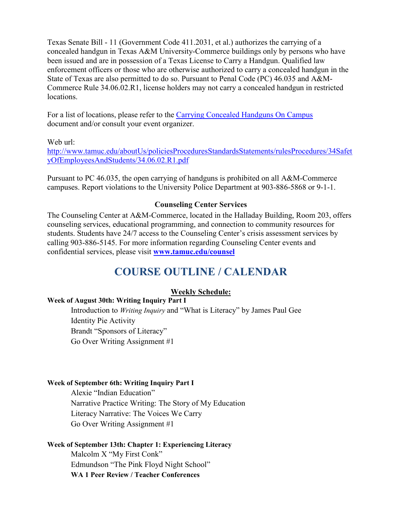Texas Senate Bill - 11 (Government Code 411.2031, et al.) authorizes the carrying of a concealed handgun in Texas A&M University-Commerce buildings only by persons who have been issued and are in possession of a Texas License to Carry a Handgun. Qualified law enforcement officers or those who are otherwise authorized to carry a concealed handgun in the State of Texas are also permitted to do so. Pursuant to Penal Code (PC) 46.035 and A&M-Commerce Rule 34.06.02.R1, license holders may not carry a concealed handgun in restricted locations.

For a list of locations, please refer to the [Carrying Concealed Handguns On Campus](http://www.tamuc.edu/aboutUs/policiesProceduresStandardsStatements/rulesProcedures/34SafetyOfEmployeesAndStudents/34.06.02.R1.pdf) document and/or consult your event organizer.

Web url:

[http://www.tamuc.edu/aboutUs/policiesProceduresStandardsStatements/rulesProcedures/34Safet](http://www.tamuc.edu/aboutUs/policiesProceduresStandardsStatements/rulesProcedures/34SafetyOfEmployeesAndStudents/34.06.02.R1.pdf) [yOfEmployeesAndStudents/34.06.02.R1.pdf](http://www.tamuc.edu/aboutUs/policiesProceduresStandardsStatements/rulesProcedures/34SafetyOfEmployeesAndStudents/34.06.02.R1.pdf)

Pursuant to PC 46.035, the open carrying of handguns is prohibited on all A&M-Commerce campuses. Report violations to the University Police Department at 903-886-5868 or 9-1-1.

#### **Counseling Center Services**

The Counseling Center at A&M-Commerce, located in the Halladay Building, Room 203, offers counseling services, educational programming, and connection to community resources for students. Students have 24/7 access to the Counseling Center's crisis assessment services by calling 903-886-5145. For more information regarding Counseling Center events and confidential services, please visit **[www.tamuc.edu/counsel](http://www.tamuc.edu/counsel)**

## **COURSE OUTLINE / CALENDAR**

### **Weekly Schedule:**

#### **Week of August 30th: Writing Inquiry Part I**

Introduction to *Writing Inquiry* and "What is Literacy" by James Paul Gee Identity Pie Activity Brandt "Sponsors of Literacy" Go Over Writing Assignment #1

#### **Week of September 6th: Writing Inquiry Part I**

Alexie "Indian Education" Narrative Practice Writing: The Story of My Education Literacy Narrative: The Voices We Carry Go Over Writing Assignment #1

#### **Week of September 13th: Chapter 1: Experiencing Literacy**

Malcolm X "My First Conk" Edmundson "The Pink Floyd Night School" **WA 1 Peer Review / Teacher Conferences**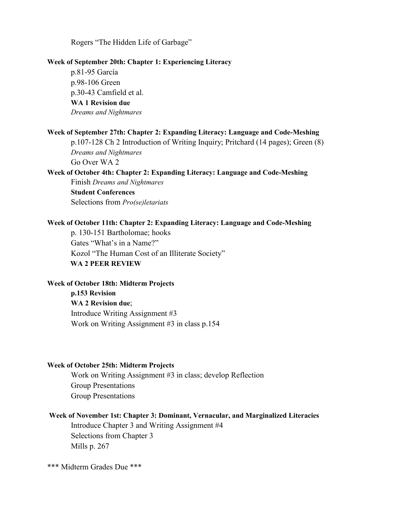Rogers "The Hidden Life of Garbage"

#### **Week of September 20th: Chapter 1: Experiencing Literacy**

p.81-95 García p.98-106 Green p.30-43 Camfield et al. **WA 1 Revision due** *Dreams and Nightmares*

#### **Week of September 27th: Chapter 2: Expanding Literacy: Language and Code-Meshing**

p.107-128 Ch 2 Introduction of Writing Inquiry; Pritchard (14 pages); Green (8) *Dreams and Nightmares*

Go Over WA 2

#### **Week of October 4th: Chapter 2: Expanding Literacy: Language and Code-Meshing**

Finish *Dreams and Nightmares* **Student Conferences** Selections from *Pro(se)letariats*

#### **Week of October 11th: Chapter 2: Expanding Literacy: Language and Code-Meshing**

p. 130-151 Bartholomae; hooks Gates "What's in a Name?" Kozol "The Human Cost of an Illiterate Society"  **WA 2 PEER REVIEW**

## **Week of October 18th: Midterm Projects p.153 Revision WA 2 Revision due**; Introduce Writing Assignment #3 Work on Writing Assignment #3 in class p.154

#### **Week of October 25th: Midterm Projects**

Work on Writing Assignment #3 in class; develop Reflection Group Presentations Group Presentations

#### **Week of November 1st: Chapter 3: Dominant, Vernacular, and Marginalized Literacies**

Introduce Chapter 3 and Writing Assignment #4 Selections from Chapter 3 Mills p. 267

\*\*\* Midterm Grades Due \*\*\*